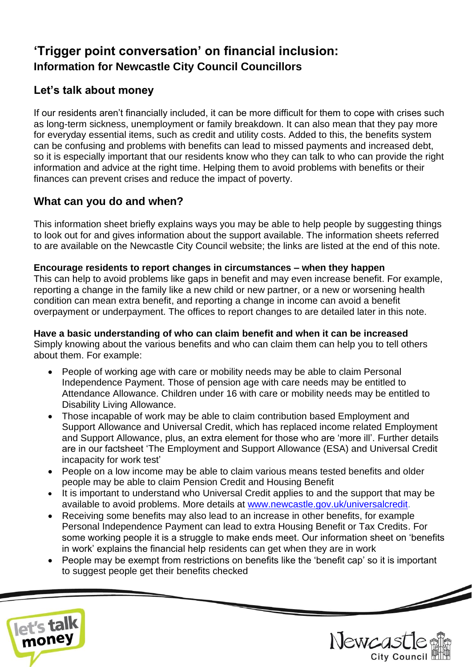# **'Trigger point conversation' on financial inclusion: Information for Newcastle City Council Councillors**

# **Let's talk about money**

If our residents aren't financially included, it can be more difficult for them to cope with crises such as long-term sickness, unemployment or family breakdown. It can also mean that they pay more for everyday essential items, such as credit and utility costs. Added to this, the benefits system can be confusing and problems with benefits can lead to missed payments and increased debt, so it is especially important that our residents know who they can talk to who can provide the right information and advice at the right time. Helping them to avoid problems with benefits or their finances can prevent crises and reduce the impact of poverty.

## **What can you do and when?**

This information sheet briefly explains ways you may be able to help people by suggesting things to look out for and gives information about the support available. The information sheets referred to are available on the Newcastle City Council website; the links are listed at the end of this note.

### **Encourage residents to report changes in circumstances – when they happen**

This can help to avoid problems like gaps in benefit and may even increase benefit. For example, reporting a change in the family like a new child or new partner, or a new or worsening health condition can mean extra benefit, and reporting a change in income can avoid a benefit overpayment or underpayment. The offices to report changes to are detailed later in this note.

**Have a basic understanding of who can claim benefit and when it can be increased** Simply knowing about the various benefits and who can claim them can help you to tell others about them. For example:

- People of working age with care or mobility needs may be able to claim Personal Independence Payment. Those of pension age with care needs may be entitled to Attendance Allowance. Children under 16 with care or mobility needs may be entitled to Disability Living Allowance.
- Those incapable of work may be able to claim contribution based Employment and Support Allowance and Universal Credit, which has replaced income related Employment and Support Allowance, plus, an extra element for those who are 'more ill'. Further details are in our factsheet 'The Employment and Support Allowance (ESA) and Universal Credit incapacity for work test'
- People on a low income may be able to claim various means tested benefits and older people may be able to claim Pension Credit and Housing Benefit
- It is important to understand who Universal Credit applies to and the support that may be available to avoid problems. More details at [www.newcastle.gov.uk/universalcredit.](http://www.newcastle.gov.uk/universalcredit)
- Receiving some benefits may also lead to an increase in other benefits, for example Personal Independence Payment can lead to extra Housing Benefit or Tax Credits. For some working people it is a struggle to make ends meet. Our information sheet on 'benefits in work' explains the financial help residents can get when they are in work
- People may be exempt from restrictions on benefits like the 'benefit cap' so it is important to suggest people get their benefits checked



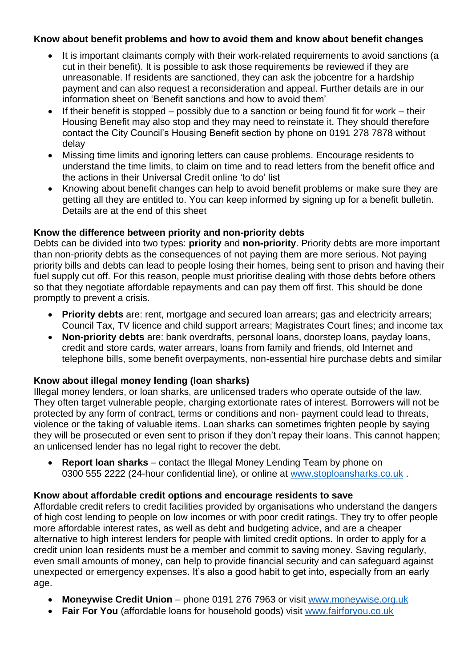#### **Know about benefit problems and how to avoid them and know about benefit changes**

- It is important claimants comply with their work-related requirements to avoid sanctions (a cut in their benefit). It is possible to ask those requirements be reviewed if they are unreasonable. If residents are sanctioned, they can ask the jobcentre for a hardship payment and can also request a reconsideration and appeal. Further details are in our information sheet on 'Benefit sanctions and how to avoid them'
- If their benefit is stopped possibly due to a sanction or being found fit for work their Housing Benefit may also stop and they may need to reinstate it. They should therefore contact the City Council's Housing Benefit section by phone on 0191 278 7878 without delay
- Missing time limits and ignoring letters can cause problems. Encourage residents to understand the time limits, to claim on time and to read letters from the benefit office and the actions in their Universal Credit online 'to do' list
- Knowing about benefit changes can help to avoid benefit problems or make sure they are getting all they are entitled to. You can keep informed by signing up for a benefit bulletin. Details are at the end of this sheet

### **Know the difference between priority and non-priority debts**

Debts can be divided into two types: **priority** and **non-priority**. Priority debts are more important than non-priority debts as the consequences of not paying them are more serious. Not paying priority bills and debts can lead to people losing their homes, being sent to prison and having their fuel supply cut off. For this reason, people must prioritise dealing with those debts before others so that they negotiate affordable repayments and can pay them off first. This should be done promptly to prevent a crisis.

- **Priority debts** are: rent, mortgage and secured loan arrears; gas and electricity arrears; Council Tax, TV licence and child support arrears; Magistrates Court fines; and income tax
- **Non-priority debts** are: bank overdrafts, personal loans, doorstep loans, payday loans, credit and store cards, water arrears, loans from family and friends, old Internet and telephone bills, some benefit overpayments, non-essential hire purchase debts and similar

### **Know about illegal money lending (loan sharks)**

Illegal money lenders, or loan sharks, are unlicensed traders who operate outside of the law. They often target vulnerable people, charging extortionate rates of interest. Borrowers will not be protected by any form of contract, terms or conditions and non- payment could lead to threats, violence or the taking of valuable items. Loan sharks can sometimes frighten people by saying they will be prosecuted or even sent to prison if they don't repay their loans. This cannot happen; an unlicensed lender has no legal right to recover the debt.

• **Report loan sharks** – contact the Illegal Money Lending Team by phone on 0300 555 2222 (24-hour confidential line), or online at [www.stoploansharks.co.uk](http://www.stoploansharks.co.uk/) .

### **Know about affordable credit options and encourage residents to save**

Affordable credit refers to credit facilities provided by organisations who understand the dangers of high cost lending to people on low incomes or with poor credit ratings. They try to offer people more affordable interest rates, as well as debt and budgeting advice, and are a cheaper alternative to high interest lenders for people with limited credit options. In order to apply for a credit union loan residents must be a member and commit to saving money. Saving regularly, even small amounts of money, can help to provide financial security and can safeguard against unexpected or emergency expenses. It's also a good habit to get into, especially from an early age.

- **Moneywise Credit Union** phone 0191 276 7963 or visit [www.moneywise.org.uk](http://www.moneywise.org.uk/)
- **Fair For You** (affordable loans for household goods) visit [www.fairforyou.co.uk](http://www.fairforyou.co.uk/)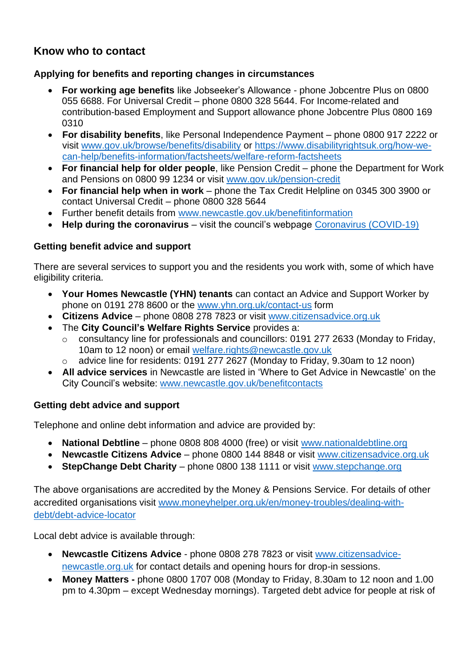### **Know who to contact**

### **Applying for benefits and reporting changes in circumstances**

- **For working age benefits** like Jobseeker's Allowance phone Jobcentre Plus on 0800 055 6688. For Universal Credit – phone 0800 328 5644. For Income-related and contribution-based Employment and Support allowance phone Jobcentre Plus 0800 169 0310
- **For disability benefits**, like Personal Independence Payment phone 0800 917 2222 or visit [www.gov.uk/browse/benefits/disability](http://www.gov.uk/browse/benefits/disability) or [https://www.disabilityrightsuk.org/how-we](https://www.disabilityrightsuk.org/how-we-can-help/benefits-information/factsheets/welfare-reform-factsheets)[can-help/benefits-information/factsheets/welfare-reform-factsheets](https://www.disabilityrightsuk.org/how-we-can-help/benefits-information/factsheets/welfare-reform-factsheets)
- **For financial help for older people**, like Pension Credit phone the Department for Work and Pensions on 0800 99 1234 or visit [www.gov.uk/pension-credit](http://www.gov.uk/pension-credit)
- **For financial help when in work** phone the Tax Credit Helpline on 0345 300 3900 or contact Universal Credit – phone 0800 328 5644
- Further benefit details from [www.newcastle.gov.uk/benefitinformation](http://www.newcastle.gov.uk/benefitinformation)
- **Help during the coronavirus** visit the council's webpage [Coronavirus \(COVID-19\)](https://www.newcastle.gov.uk/services/public-health-wellbeing-and-leisure/public-health-services/coronavirus-covid-19)

### **Getting benefit advice and support**

There are several services to support you and the residents you work with, some of which have eligibility criteria.

- **Your Homes Newcastle (YHN) tenants** can contact an Advice and Support Worker by phone on 0191 278 8600 or the [www.yhn.org.uk/contact-us](http://www.yhn.org.uk/contact-us) form
- **Citizens Advice**  phone 0808 278 7823 or visit [www.citizensadvice.org.uk](https://www.citizensadvice.org.uk/)
- The **City Council's Welfare Rights Service** provides a:
	- o consultancy line for professionals and councillors: 0191 277 2633 (Monday to Friday, 10am to 12 noon) or email [welfare.rights@newcastle.gov.uk](mailto:welfare.rights@newcastle.gov.uk)
	- o advice line for residents: 0191 277 2627 (Monday to Friday, 9.30am to 12 noon)
- **All advice services** in Newcastle are listed in 'Where to Get Advice in Newcastle' on the City Council's website: [www.newcastle.gov.uk/benefitcontacts](http://www.newcastle.gov.uk/benefitcontacts)

### **Getting debt advice and support**

Telephone and online debt information and advice are provided by:

- **National Debtline** phone 0808 808 4000 (free) or visit [www.nationaldebtline.org](http://www.nationaldebtline.org/)
- **Newcastle Citizens Advice** phone 0800 144 8848 or visit [www.citizensadvice.org.uk](https://www.citizensadvice.org.uk/)
- **StepChange Debt Charity** phone 0800 138 1111 or visit [www.stepchange.org](http://www.stepchange.org/)

The above organisations are accredited by the Money & Pensions Service. For details of other accredited organisations visit [www.moneyhelper.org.uk/en/money-troubles/dealing-with](http://www.moneyhelper.org.uk/en/money-troubles/dealing-with-debt/debt-advice-locator)[debt/debt-advice-locator](http://www.moneyhelper.org.uk/en/money-troubles/dealing-with-debt/debt-advice-locator)

Local debt advice is available through:

- **Newcastle Citizens Advice** phone 0808 278 7823 or visit [www.citizensadvice](http://www.citizensadvice-newcastle.org.uk/)[newcastle.org.uk](http://www.citizensadvice-newcastle.org.uk/) for contact details and opening hours for drop-in sessions.
- **Money Matters -** phone 0800 1707 008 (Monday to Friday, 8.30am to 12 noon and 1.00 pm to 4.30pm – except Wednesday mornings). Targeted debt advice for people at risk of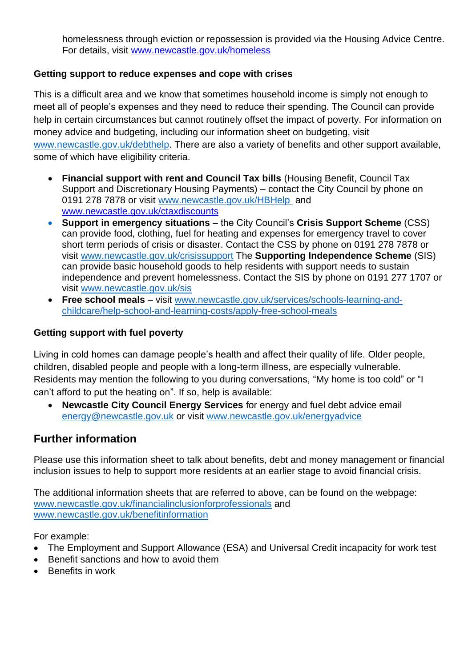homelessness through eviction or repossession is provided via the Housing Advice Centre. For details, visit [www.newcastle.gov.uk/homeless](https://www.newcastle.gov.uk/homeless)

### **Getting support to reduce expenses and cope with crises**

This is a difficult area and we know that sometimes household income is simply not enough to meet all of people's expenses and they need to reduce their spending. The Council can provide help in certain circumstances but cannot routinely offset the impact of poverty. For information on money advice and budgeting, including our information sheet on budgeting, visit [www.newcastle.gov.uk/debthelp.](http://www.newcastle.gov.uk/debthelp) There are also a variety of benefits and other support available, some of which have eligibility criteria.

- **Financial support with rent and Council Tax bills** (Housing Benefit, Council Tax Support and Discretionary Housing Payments) – contact the City Council by phone on 0191 278 7878 or visit [www.newcastle.gov.uk/HBHelp](http://www.newcastle.gov.uk/HBHelp) and [www.newcastle.gov.uk/ctaxdiscounts](http://www.newcastle.gov.uk/ctaxdiscounts)
- **Support in emergency situations** the City Council's **Crisis Support Scheme** (CSS) can provide food, clothing, fuel for heating and expenses for emergency travel to cover short term periods of crisis or disaster. Contact the CSS by phone on 0191 278 7878 or visit [www.newcastle.gov.uk/crisissupport](http://www.newcastle.gov.uk/crisissupport) The **Supporting Independence Scheme** (SIS) can provide basic household goods to help residents with support needs to sustain independence and prevent homelessness. Contact the SIS by phone on 0191 277 1707 or visit [www.newcastle.gov.uk/sis](http://www.newcastle.gov.uk/sis)
- **Free school meals** visit [www.newcastle.gov.uk/services/schools-learning-and](http://www.newcastle.gov.uk/services/schools-learning-and-childcare/help-school-and-learning-costs/apply-free-school-meals)[childcare/help-school-and-learning-costs/apply-free-school-meals](http://www.newcastle.gov.uk/services/schools-learning-and-childcare/help-school-and-learning-costs/apply-free-school-meals)

### **Getting support with fuel poverty**

Living in cold homes can damage people's health and affect their quality of life. Older people, children, disabled people and people with a long-term illness, are especially vulnerable. Residents may mention the following to you during conversations, "My home is too cold" or "I can't afford to put the heating on". If so, help is available:

• **Newcastle City Council Energy Services** for energy and fuel debt advice email [energy@newcastle.gov.uk](mailto:energy@newcastle.gov.uk) or visit [www.newcastle.gov.uk/energyadvice](https://www.newcastle.gov.uk/energyadvice)

### **Further information**

Please use this information sheet to talk about benefits, debt and money management or financial inclusion issues to help to support more residents at an earlier stage to avoid financial crisis.

The additional information sheets that are referred to above, can be found on the webpage: [www.newcastle.gov.uk/financialinclusionforprofessionals](http://www.newcastle.gov.uk/financialinclusionforprofessionals) and [www.newcastle.gov.uk/benefitinformation](http://www.newcastle.gov.uk/benefitinformation)

For example:

- The Employment and Support Allowance (ESA) and Universal Credit incapacity for work test
- Benefit sanctions and how to avoid them
- Benefits in work